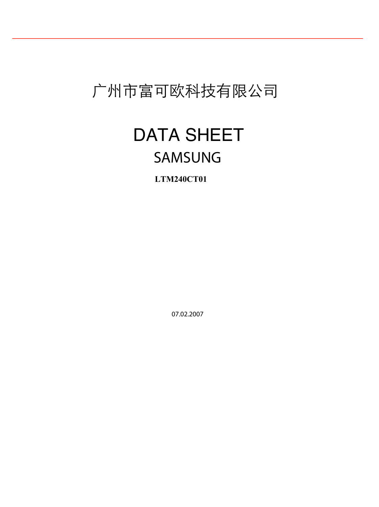## 广州市富可欧科技有限公司

FUKOOR

## SAMSUNG DATA SHEET

**LTM240CT01**

07.02.2007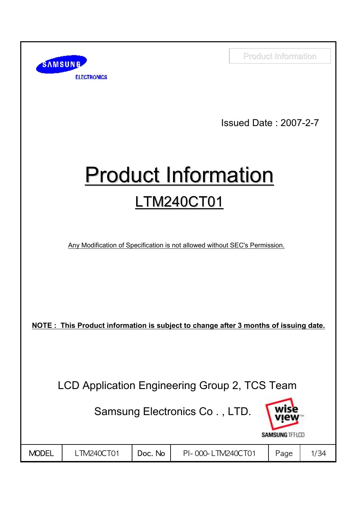

Customer: Fukoor Issued Date : 2007-2-7

# **Product Information** LTM240CT01

Any Modification of Specification is not allowed without SEC's Permission.

**NOTE : This Product information is subject to change after 3 months of issuing date.**

LCD Application Engineering Group 2, TCS Team

Samsung Electronics Co . , LTD.

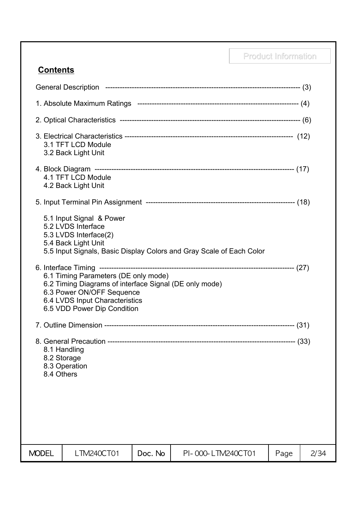## **Contents**

|                           | 3.1 TFT LCD Module<br>3.2 Back Light Unit                                                                                                                                                    |         |                                                                      |      |      |
|---------------------------|----------------------------------------------------------------------------------------------------------------------------------------------------------------------------------------------|---------|----------------------------------------------------------------------|------|------|
|                           | 4.1 TFT LCD Module<br>4.2 Back Light Unit                                                                                                                                                    |         |                                                                      |      |      |
|                           |                                                                                                                                                                                              |         |                                                                      |      |      |
|                           | 5.1 Input Signal & Power<br>5.2 LVDS Interface<br>5.3 LVDS Interface(2)<br>5.4 Back Light Unit                                                                                               |         | 5.5 Input Signals, Basic Display Colors and Gray Scale of Each Color |      |      |
|                           | 6.1 Timing Parameters (DE only mode)<br>6.2 Timing Diagrams of interface Signal (DE only mode)<br>6.3 Power ON/OFF Sequence<br>6.4 LVDS Input Characteristics<br>6.5 VDD Power Dip Condition |         |                                                                      |      |      |
|                           |                                                                                                                                                                                              |         |                                                                      |      |      |
| 8.2 Storage<br>8.4 Others | 8.1 Handling<br>8.3 Operation                                                                                                                                                                |         |                                                                      |      |      |
| <b>MODEL</b>              | LTM240CT01                                                                                                                                                                                   | Doc. No | PI-000-LTM240CT01                                                    | Page | 2/34 |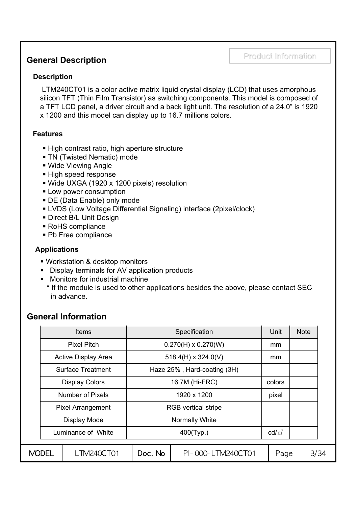## Product Information Product Information **General Description**

## **Description**

LTM240CT01 is a color active matrix liquid crystal display (LCD) that uses amorphous silicon TFT (Thin Film Transistor) as switching components. This model is composed of a TFT LCD panel, a driver circuit and a back light unit. The resolution of a 24.0" is 1920 x 1200 and this model can display up to 16.7 millions colors.

### **Features**

- High contrast ratio, high aperture structure
- **TN (Twisted Nematic) mode**
- Wide Viewing Angle
- High speed response
- Wide UXGA (1920 x 1200 pixels) resolution
- **Low power consumption**
- DE (Data Enable) only mode
- LVDS (Low Voltage Differential Signaling) interface (2pixel/clock)
- **Direct B/L Unit Design**
- RoHS compliance
- Pb Free compliance

## **Applications**

- Workstation & desktop monitors
- Display terminals for AV application products
- **Monitors for industrial machine** 
	- \* If the module is used to other applications besides the above, please contact SEC in advance.

## **General Information**

|                            | <b>Items</b>                               | Specification              |                             | Unit            |        | <b>Note</b> |
|----------------------------|--------------------------------------------|----------------------------|-----------------------------|-----------------|--------|-------------|
|                            | <b>Pixel Pitch</b>                         | $0.270(H) \times 0.270(W)$ |                             | mm              |        |             |
| <b>Active Display Area</b> |                                            |                            | $518.4(H) \times 324.0(V)$  | mm              |        |             |
|                            | <b>Surface Treatment</b>                   |                            | Haze 25%, Hard-coating (3H) |                 |        |             |
|                            | <b>Display Colors</b>                      | 16.7M (Hi-FRC)             |                             |                 | colors |             |
| <b>Number of Pixels</b>    |                                            | 1920 x 1200                |                             | pixel           |        |             |
|                            | <b>Pixel Arrangement</b>                   | <b>RGB</b> vertical stripe |                             |                 |        |             |
|                            | Display Mode                               |                            | Normally White              |                 |        |             |
| Luminance of White         |                                            |                            | 400(Typ.)                   | $\text{cd/m}^2$ |        |             |
|                            |                                            |                            |                             |                 |        |             |
| MODEL                      | Doc. No<br>_TM240CT01<br>PI-000-LTM240CT01 |                            |                             | Page            | 3/34   |             |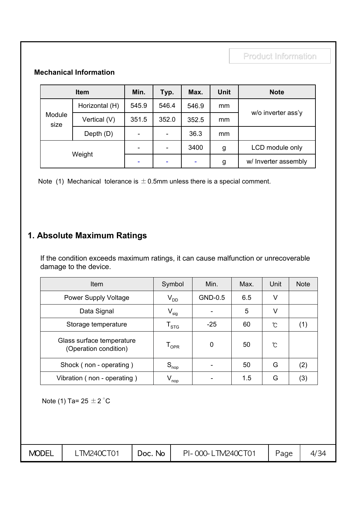## **Mechanical Information**

| <b>Item</b>    |                | Min.  | Typ.                     | Max.  | Unit | <b>Note</b>          |
|----------------|----------------|-------|--------------------------|-------|------|----------------------|
| Module<br>size | Horizontal (H) | 545.9 | 546.4                    | 546.9 | mm   |                      |
|                | Vertical (V)   | 351.5 | 352.0                    | 352.5 | mm   | w/o inverter ass'y   |
|                | Depth (D)      |       | $\overline{\phantom{a}}$ | 36.3  | mm   |                      |
| Weight         |                | ۰     | $\overline{\phantom{a}}$ | 3400  | g    | LCD module only      |
|                |                | ۰     | ٠                        | ۰     | g    | w/ Inverter assembly |

Note (1) Mechanical tolerance is  $\pm$  0.5mm unless there is a special comment.

## **1. Absolute Maximum Ratings**

If the condition exceeds maximum ratings, it can cause malfunction or unrecoverable damage to the device.

| Item                                               | Symbol                      | Min.    | Max. | Unit | <b>Note</b> |
|----------------------------------------------------|-----------------------------|---------|------|------|-------------|
| <b>Power Supply Voltage</b>                        | $\mathsf{V}_{\mathsf{DD}}$  | GND-0.5 | 6.5  | v    |             |
| Data Signal                                        | $V_{sig}$                   |         | 5    | V    |             |
| Storage temperature                                | $\mathsf{T}_{\textsf{STG}}$ | $-25$   | 60   | ℃    | (1)         |
| Glass surface temperature<br>(Operation condition) | $\mathsf{T}_{\mathsf{OPR}}$ | 0       | 50   | Ĉ    |             |
| Shock (non - operating)                            | $S_{\text{nop}}$            |         | 50   | G    | (2)         |
| Vibration (non - operating)                        | $V_{\text{nop}}$            |         | 1.5  | G    | (3)         |

Note (1) Ta=  $25 \pm 2$  °C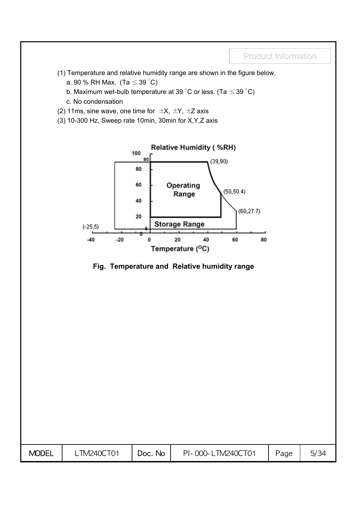- (1) Temperature and relative humidity range are shown in the figure below.
	- a. 90 % RH Max. (Ta  $\leq$  39 °C)
	- b. Maximum wet-bulb temperature at 39 °C or less. (Ta  $\leq$  39 °C)
	- c. No condensation
- (2) 11ms, sine wave, one time for  $\pm X$ ,  $\pm Y$ ,  $\pm Z$  axis
- (3) 10-300 Hz, Sweep rate 10min, 30min for X,Y,Z axis



### **Fig. Temperature and Relative humidity range**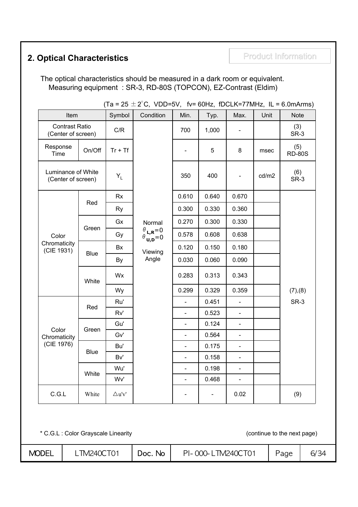## **2. Optical Characteristics Product Information**

The optical characteristics should be measured in a dark room or equivalent. Measuring equipment : SR-3, RD-80S (TOPCON), EZ-Contrast (Eldim)

| Item                                            |             | Symbol           | (18 = 25 $\pm$ 2 C, VDD=5V, IV= 60HZ, IDCLN=77MHZ, IL = 6.0MHHIMS)<br>Condition                         | Min.                     | Typ.  | Max.                     | Unit  | <b>Note</b>          |
|-------------------------------------------------|-------------|------------------|---------------------------------------------------------------------------------------------------------|--------------------------|-------|--------------------------|-------|----------------------|
| <b>Contrast Ratio</b><br>(Center of screen)     |             | C/R              |                                                                                                         | 700                      | 1,000 |                          |       | (3)<br>SR-3          |
| Response<br>Time                                | On/Off      | $Tr + Tf$        |                                                                                                         |                          | 5     | $\bf 8$                  | msec  | (5)<br><b>RD-80S</b> |
| Luminance of White<br>(Center of screen)<br>Red |             | $Y_L$            |                                                                                                         | 350                      | 400   |                          | cd/m2 | (6)<br>SR-3          |
|                                                 |             | <b>Rx</b>        |                                                                                                         | 0.610                    | 0.640 | 0.670                    |       |                      |
|                                                 |             | <b>Ry</b>        |                                                                                                         | 0.300                    | 0.330 | 0.360                    |       |                      |
|                                                 |             | Gx               | Normal                                                                                                  | 0.270                    | 0.300 | 0.330                    |       |                      |
| Color                                           | Green       | Gy               | $\begin{array}{c} \theta_{\mathsf{L},\mathsf{R}}{=}0 \\ \theta_{\mathsf{U},\mathsf{D}}{=}0 \end{array}$ | 0.578                    | 0.608 | 0.638                    |       |                      |
| Chromaticity<br>(CIE 1931)                      | <b>Blue</b> | Bx               | Viewing<br>Angle                                                                                        | 0.120                    | 0.150 | 0.180                    |       |                      |
|                                                 |             | By               |                                                                                                         | 0.030                    | 0.060 | 0.090                    |       |                      |
|                                                 | White       | Wx               |                                                                                                         | 0.283                    | 0.313 | 0.343                    |       |                      |
|                                                 |             | Wy               |                                                                                                         | 0.299                    | 0.329 | 0.359                    |       | (7), (8)             |
|                                                 | Red         | Ru'              |                                                                                                         | $\overline{a}$           | 0.451 | $\overline{a}$           |       | SR-3                 |
|                                                 |             | Rv'              |                                                                                                         | $\overline{\phantom{a}}$ | 0.523 | $\overline{\phantom{0}}$ |       |                      |
| Color                                           | Green       | Gu'              |                                                                                                         |                          | 0.124 | $\frac{1}{2}$            |       |                      |
| Chromaticity                                    |             | Gv'              |                                                                                                         | $\overline{\phantom{0}}$ | 0.564 | $\blacksquare$           |       |                      |
| (CIE 1976)                                      | <b>Blue</b> | Bu'              |                                                                                                         |                          | 0.175 |                          |       |                      |
|                                                 |             | Bv'              |                                                                                                         | $\overline{\phantom{0}}$ | 0.158 | $\Box$                   |       |                      |
|                                                 | White       | Wu'              |                                                                                                         | $\overline{\phantom{0}}$ | 0.198 | $\blacksquare$           |       |                      |
|                                                 |             | Wv'              |                                                                                                         |                          | 0.468 | $\frac{1}{2}$            |       |                      |
| C.G.L                                           | White       | $\triangle$ u'v' |                                                                                                         |                          |       | 0.02                     |       | (9)                  |

(Ta = 25  $\pm$  2 $^{\circ}$ C, VDD=5V, fv= 60Hz, fDCLK=77MHz, IL = 6.0mArms)

\* C.G.L : Color Grayscale Linearity (continue to the next page)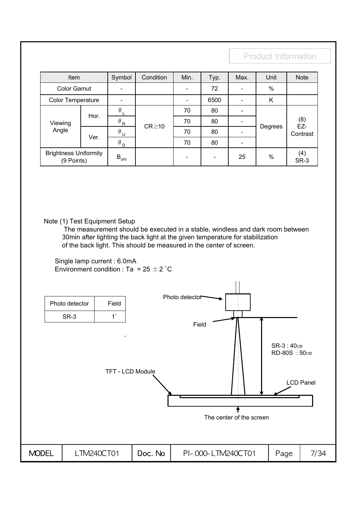| Item                                       |      | Symbol                | Condition   | Min.                     | Typ. | Max. | Unit    | <b>Note</b>  |
|--------------------------------------------|------|-----------------------|-------------|--------------------------|------|------|---------|--------------|
| <b>Color Gamut</b>                         |      |                       |             | $\overline{\phantom{a}}$ | 72   |      | %       |              |
| Color Temperature                          |      |                       |             |                          | 6500 |      | K       |              |
|                                            | Hor. | $\theta_L$            |             | 70                       | 80   |      |         |              |
| Viewing                                    |      | $\theta_{R}$          | $CR \ge 10$ | 70                       | 80   |      | Degrees | $(8)$<br>EZ- |
| Angle                                      | Ver. | $\theta$ $\mathbf{u}$ |             | 70                       | 80   |      |         | Contrast     |
|                                            |      | $\theta_{\rho}$       |             | 70<br>80                 |      |      |         |              |
| <b>Brightness Uniformity</b><br>(9 Points) |      | $B_{\text{uni}}$      |             | $\qquad \qquad$          |      | 25   | $\%$    | (4)<br>SR-3  |

Note (1) Test Equipment Setup

The measurement should be executed in a stable, windless and dark room between 30min after lighting the back light at the given temperature for stabilization of the back light. This should be measured in the center of screen.

Single lamp current : 6.0mA Environment condition : Ta = 25  $\pm$  2 °C

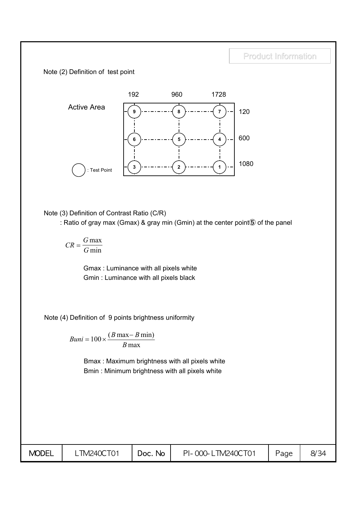Note (2) Definition of test point



Note (3) Definition of Contrast Ratio (C/R)

: Ratio of gray max (Gmax) & gray min (Gmin) at the center point⑤ of the panel

*CR*  $=\frac{G \max}{G \min}$ 

> Gmax : Luminance with all pixels white Gmin : Luminance with all pixels black

Note (4) Definition of 9 points brightness uniformity

 $Buni = 100 \times \frac{(B \max - B)}{B}$ *B*  $= 100 \times \frac{(B \max - B \min)}{B}$ max

> Bmax : Maximum brightness with all pixels white Bmin : Minimum brightness with all pixels white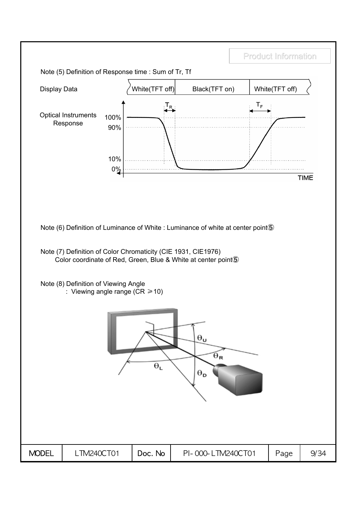Note (5) Definition of Response time : Sum of Tr, Tf



Note (6) Definition of Luminance of White : Luminance of white at center point⑤

Note (7) Definition of Color Chromaticity (CIE 1931, CIE1976) Color coordinate of Red, Green, Blue & White at center point⑤

Note (8) Definition of Viewing Angle : Viewing angle range ( $CR \ge 10$ )

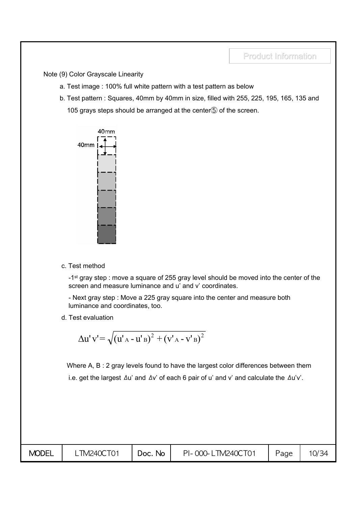Note (9) Color Grayscale Linearity

- a. Test image : 100% full white pattern with a test pattern as below
- b. Test pattern : Squares, 40mm by 40mm in size, filled with 255, 225, 195, 165, 135 and 105 grays steps should be arranged at the center⑤ of the screen.



c. Test method

-1<sup>st</sup> gray step : move a square of 255 gray level should be moved into the center of the screen and measure luminance and u' and v' coordinates.

- Next gray step : Move a 225 gray square into the center and measure both luminance and coordinates, too.

d. Test evaluation

$$
\Delta u' v' = \sqrt{(u'_{A} - u'_{B})^{2} + (v'_{A} - v'_{B})^{2}}
$$

Where A, B : 2 gray levels found to have the largest color differences between them i.e. get the largest  $\Delta u'$  and  $\Delta v'$  of each 6 pair of u' and v' and calculate the  $\Delta u'v'$ .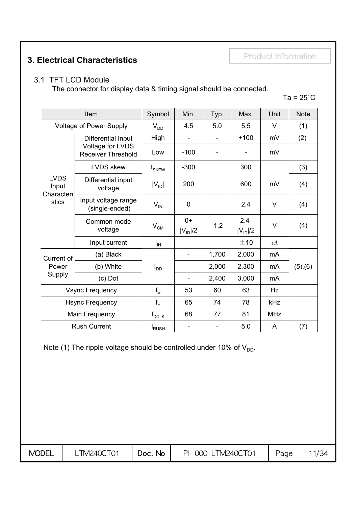Product Information Product Information **3. Electrical Characteristics**

## 3.1 TFT LCD Module

The connector for display data & timing signal should be connected.

## Ta =  $25^{\circ}$ C

|                                    | Item                                          | Symbol                    | Min.                 | Typ.  | Max.                    | Unit       | <b>Note</b> |
|------------------------------------|-----------------------------------------------|---------------------------|----------------------|-------|-------------------------|------------|-------------|
|                                    | <b>Voltage of Power Supply</b>                | $V_{DD}$                  | 4.5                  | 5.0   | 5.5                     | V          | (1)         |
|                                    | Differential Input                            | High                      |                      |       | $+100$                  | mV         | (2)         |
|                                    | Voltage for LVDS<br><b>Receiver Threshold</b> | Low                       | $-100$               |       |                         | mV         |             |
|                                    | <b>LVDS</b> skew                              | $\mathfrak{t}_{\rm SKEW}$ | $-300$               |       | 300                     |            | (3)         |
| <b>LVDS</b><br>Input<br>Characteri | Differential input<br>voltage                 | $ V_{ID} $                | 200                  |       | 600                     | mV         | (4)         |
| stics                              | Input voltage range<br>(single-ended)         | $V_{\text{IN}}$           | $\mathbf 0$          |       | 2.4                     | V          | (4)         |
|                                    | Common mode<br>voltage                        | $V_{CM}$                  | $0+$<br>$ V_{ID} /2$ | 1.2   | $2.4 -$<br>$ V_{ID} /2$ | $\vee$     | (4)         |
|                                    | Input current                                 | $I_{IN}$                  |                      |       | ±10                     | $\mu$ A    |             |
| Current of                         | (a) Black                                     |                           |                      | 1,700 | 2,000                   | mA         |             |
| Power                              | (b) White                                     | $I_{DD}$                  |                      | 2,000 | 2,300                   | mA         | (5), (6)    |
| Supply                             | $(c)$ Dot                                     |                           |                      | 2,400 | 3,000                   | mA         |             |
| <b>Vsync Frequency</b>             |                                               | $f_v$                     | 53                   | 60    | 63                      | Hz         |             |
| <b>Hsync Frequency</b>             |                                               | $f_H$                     | 65                   | 74    | 78                      | kHz        |             |
| Main Frequency                     |                                               | $f_{DCLK}$                | 68                   | 77    | 81                      | <b>MHz</b> |             |
|                                    | <b>Rush Current</b>                           | <sup>I</sup> RUSH         |                      |       | 5.0                     | A          | (7)         |

Note (1) The ripple voltage should be controlled under 10% of  $V_{DD}$ .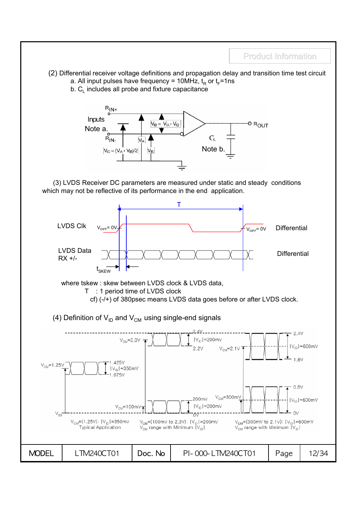- (2) Differential receiver voltage definitions and propagation delay and transition time test circuit
	- a. All input pulses have frequency = 10MHz,  $t_{\rm p}$  or  $t_{\rm r}$ =1ns
	- $b. C<sub>l</sub>$  includes all probe and fixture capacitance



(3) LVDS Receiver DC parameters are measured under static and steady conditions which may not be reflective of its performance in the end application.

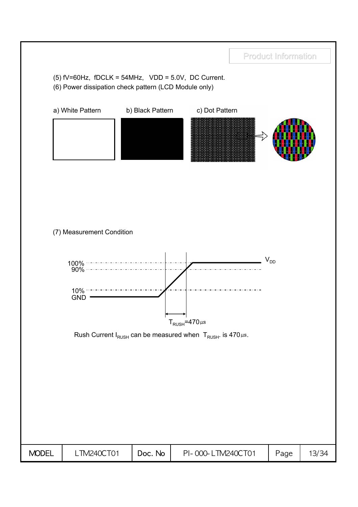(5)  $fV=60Hz$ ,  $fDCLK = 54MHz$ ,  $VDD = 5.0V$ , DC Current.

(6) Power dissipation check pattern (LCD Module only)



(7) Measurement Condition



Rush Current  $I_{RUSH}$  can be measured when  $T_{RUSH}$ . is 470 $\mu$ s.

| <b>MODEL</b> | <b>TM240CT01</b> | Doc. No | PI-000-LTM240CT01 | Page | 13/34 |
|--------------|------------------|---------|-------------------|------|-------|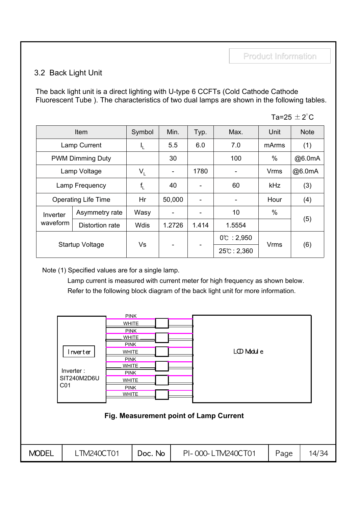## 3.2 Back Light Unit

The back light unit is a direct lighting with U-type 6 CCFTs (Cold Cathode Cathode Fluorescent Tube ). The characteristics of two dual lamps are shown in the following tables.

| . C<br>⊸″.<br>75 | . . |
|------------------|-----|
|------------------|-----|

| <b>Item</b>    |                            | Symbol      | Min.                     | Typ.                     | Max.                 | Unit        | <b>Note</b> |
|----------------|----------------------------|-------------|--------------------------|--------------------------|----------------------|-------------|-------------|
| Lamp Current   |                            | Ч.          | 5.5                      | 6.0                      | 7.0                  | mArms       | (1)         |
|                | <b>PWM Dimming Duty</b>    |             | 30                       |                          | 100                  | $\%$        | @6.0mA      |
|                | Lamp Voltage               | $V_{\perp}$ | $\overline{\phantom{a}}$ | 1780                     |                      | <b>Vrms</b> | @6.0mA      |
| Lamp Frequency |                            | $f_L$       | 40                       | $\overline{\phantom{0}}$ | 60                   | kHz         | (3)         |
|                | <b>Operating Life Time</b> | Hr          | 50,000                   | $\overline{\phantom{a}}$ |                      | Hour        | (4)         |
| Inverter       | Asymmetry rate             | Wasy        | ۰                        | $\overline{\phantom{a}}$ | 10                   | $\%$        |             |
| waveform       | Distortion rate            | <b>Wdis</b> | 1.2726                   | 1.414                    | 1.5554               |             | (5)         |
|                |                            |             |                          |                          | $0^{\circ}$ : 2,950  |             |             |
|                | <b>Startup Voltage</b>     | Vs          |                          | $\overline{\phantom{a}}$ | $25^{\circ}$ : 2,360 | Vrms        | (6)         |

Note (1) Specified values are for a single lamp.

Lamp current is measured with current meter for high frequency as shown below. Refer to the following block diagram of the back light unit for more information.

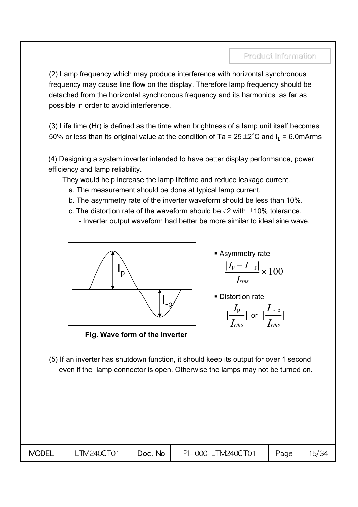(2) Lamp frequency which may produce interference with horizontal synchronous frequency may cause line flow on the display. Therefore lamp frequency should be detached from the horizontal synchronous frequency and its harmonics as far as possible in order to avoid interference.

(3) Life time (Hr) is defined as the time when brightness of a lamp unit itself becomes 50% or less than its original value at the condition of Ta =  $25 \pm 2^{\circ}$ C and I<sub>1</sub> = 6.0mArms

(4) Designing a system inverter intended to have better display performance, power efficiency and lamp reliability.

They would help increase the lamp lifetime and reduce leakage current.

- a. The measurement should be done at typical lamp current.
- b. The asymmetry rate of the inverter waveform should be less than 10%.
- c. The distortion rate of the waveform should be  $\sqrt{2}$  with  $\pm$ 10% tolerance.
	- Inverter output waveform had better be more similar to ideal sine wave.



Asymmetry rate

$$
\frac{|I_{\rm p}-I_{\rm -p}|}{I_{\rm rms}}\times 100
$$

**Distortion rate** 

$$
\Big|\frac{I_{\rm p}}{I_{rms}}\Big| \text{ or } \Big|\frac{I_{\rm -p}}{I_{rms}}\Big|
$$

**Fig. Wave form of the inverter**

(5) If an inverter has shutdown function, it should keep its output for over 1 second even if the lamp connector is open. Otherwise the lamps may not be turned on.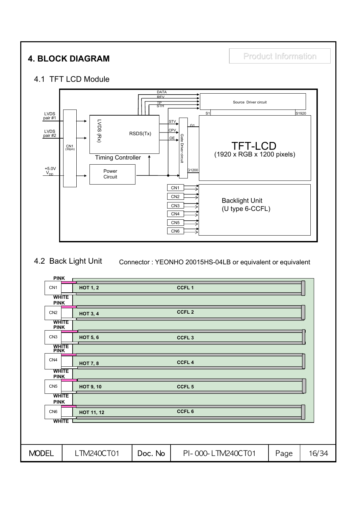## **4. BLOCK DIAGRAM Product Information**

## 4.1 TFT LCD Module



### 4.2 Back Light Unit Connector : YEONHO 20015HS-04LB or equivalent or equivalent

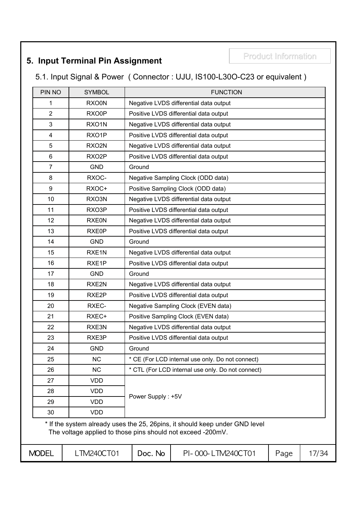## **5. Input Terminal Pin Assignment Fig. 10. 12. Product Information**

## 5.1. Input Signal & Power ( Connector : UJU, IS100-L30O-C23 or equivalent )

| PIN NO         | <b>SYMBOL</b>      | <b>FUNCTION</b>                                                           |
|----------------|--------------------|---------------------------------------------------------------------------|
| 1              | RXO0N              | Negative LVDS differential data output                                    |
| $\overline{2}$ | RXO0P              | Positive LVDS differential data output                                    |
| 3              | RXO1N              | Negative LVDS differential data output                                    |
| $\overline{4}$ | RXO1P              | Positive LVDS differential data output                                    |
| 5              | RXO2N              | Negative LVDS differential data output                                    |
| $6\phantom{1}$ | RXO <sub>2</sub> P | Positive LVDS differential data output                                    |
| $\overline{7}$ | <b>GND</b>         | Ground                                                                    |
| 8              | RXOC-              | Negative Sampling Clock (ODD data)                                        |
| 9              | RXOC+              | Positive Sampling Clock (ODD data)                                        |
| 10             | RXO3N              | Negative LVDS differential data output                                    |
| 11             | RXO3P              | Positive LVDS differential data output                                    |
| 12             | <b>RXE0N</b>       | Negative LVDS differential data output                                    |
| 13             | RXE0P              | Positive LVDS differential data output                                    |
| 14             | <b>GND</b>         | Ground                                                                    |
| 15             | RXE1N              | Negative LVDS differential data output                                    |
| 16             | RXE1P              | Positive LVDS differential data output                                    |
| 17             | <b>GND</b>         | Ground                                                                    |
| 18             | RXE2N              | Negative LVDS differential data output                                    |
| 19             | RXE2P              | Positive LVDS differential data output                                    |
| 20             | RXEC-              | Negative Sampling Clock (EVEN data)                                       |
| 21             | RXEC+              | Positive Sampling Clock (EVEN data)                                       |
| 22             | RXE3N              | Negative LVDS differential data output                                    |
| 23             | RXE3P              | Positive LVDS differential data output                                    |
| 24             | <b>GND</b>         | Ground                                                                    |
| 25             | <b>NC</b>          | * CE (For LCD internal use only. Do not connect)                          |
| 26             | <b>NC</b>          | * CTL (For LCD internal use only. Do not connect)                         |
| 27             | <b>VDD</b>         |                                                                           |
| 28             | <b>VDD</b>         | Power Supply: +5V                                                         |
| 29             | <b>VDD</b>         |                                                                           |
| 30             | <b>VDD</b>         |                                                                           |
|                |                    | * If the system already uses the 25 26nins it should keep under CND level |

If the system already uses the 25, 26pins, it should keep under GND level The voltage applied to those pins should not exceed -200mV.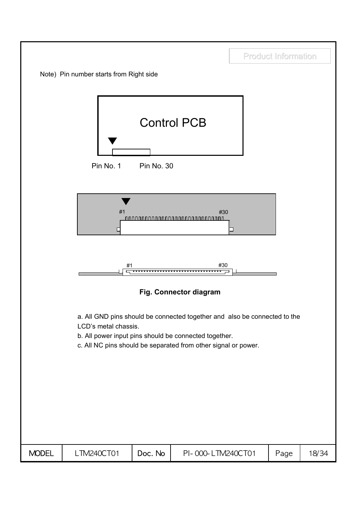



**Fig. Connector diagram**

a. All GND pins should be connected together and also be connected to the LCD's metal chassis.

- b. All power input pins should be connected together.
- c. All NC pins should be separated from other signal or power.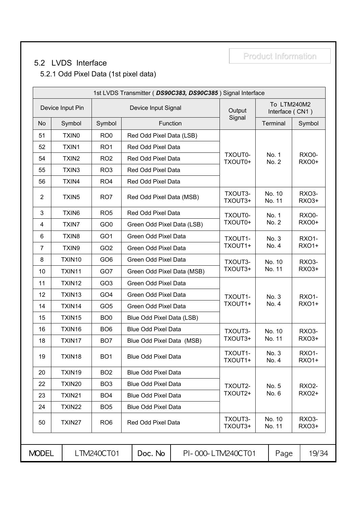## 5.2 LVDS Interface

## 5.2.1 Odd Pixel Data (1st pixel data)

|                |                   |                 | 1st LVDS Transmitter (DS90C383, DS90C385) Signal Interface |                    |                                |                              |
|----------------|-------------------|-----------------|------------------------------------------------------------|--------------------|--------------------------------|------------------------------|
|                | Device Input Pin  |                 | Device Input Signal                                        | Output             | To LTM240M2<br>Interface (CN1) |                              |
| <b>No</b>      | Symbol            | Symbol          | Function                                                   | Signal             | Terminal                       | Symbol                       |
| 51             | TXIN <sub>0</sub> | RO <sub>0</sub> | Red Odd Pixel Data (LSB)                                   |                    |                                |                              |
| 52             | TXIN1             | RO <sub>1</sub> | Red Odd Pixel Data                                         |                    |                                |                              |
| 54             | TXIN <sub>2</sub> | RO <sub>2</sub> | Red Odd Pixel Data                                         | TXOUT0-<br>TXOUT0+ | No. 1<br>No. 2                 | <b>RXO0-</b><br><b>RXO0+</b> |
| 55             | TXIN3             | RO <sub>3</sub> | Red Odd Pixel Data                                         |                    |                                |                              |
| 56             | TXIN4             | RO <sub>4</sub> | Red Odd Pixel Data                                         |                    |                                |                              |
| $\overline{2}$ | TXIN <sub>5</sub> | RO <sub>7</sub> | Red Odd Pixel Data (MSB)                                   | TXOUT3-<br>TXOUT3+ | No. 10<br>No. 11               | <b>RXO3-</b><br>RXO3+        |
| 3              | TXIN6             | RO <sub>5</sub> | Red Odd Pixel Data                                         | TXOUT0-            | No. 1                          | <b>RXO0-</b>                 |
| 4              | <b>TXIN7</b>      | GO <sub>0</sub> | Green Odd Pixel Data (LSB)                                 | TXOUT0+            | No. 2                          | <b>RXO0+</b>                 |
| 6              | TXIN <sub>8</sub> | GO <sub>1</sub> | Green Odd Pixel Data                                       | TXOUT1-            | No. 3                          | RXO1-                        |
| $\overline{7}$ | TXIN9             | GO <sub>2</sub> | Green Odd Pixel Data                                       | TXOUT1+            | No. 4                          | <b>RXO1+</b>                 |
| 8              | TXIN10            | GO <sub>6</sub> | Green Odd Pixel Data                                       | TXOUT3-            | No. 10<br>No. 11               | <b>RXO3-</b>                 |
| 10             | TXIN11            | GO7             | Green Odd Pixel Data (MSB)                                 | TXOUT3+            |                                | RXO3+                        |
| 11             | TXIN12            | GO <sub>3</sub> | Green Odd Pixel Data                                       |                    |                                |                              |
| 12             | TXIN13            | GO <sub>4</sub> | Green Odd Pixel Data                                       | TXOUT1-            | No. 3                          | <b>RXO1-</b>                 |
| 14             | TXIN14            | GO <sub>5</sub> | Green Odd Pixel Data                                       | TXOUT1+            | No. 4                          | <b>RXO1+</b>                 |
| 15             | TXIN15            | BO <sub>0</sub> | Blue Odd Pixel Data (LSB)                                  |                    |                                |                              |
| 16             | TXIN16            | BO <sub>6</sub> | <b>Blue Odd Pixel Data</b>                                 | TXOUT3-            | No. 10                         | <b>RXO3-</b>                 |
| 18             | TXIN17            | BO <sub>7</sub> | Blue Odd Pixel Data (MSB)                                  | TXOUT3+            | No. 11                         | RXO3+                        |
| 19             | TXIN18            | BO <sub>1</sub> | <b>Blue Odd Pixel Data</b>                                 | TXOUT1-<br>TXOUT1+ | No. 3<br>No. 4                 | <b>RXO1-</b><br><b>RXO1+</b> |
| 20             | TXIN19            | BO <sub>2</sub> | <b>Blue Odd Pixel Data</b>                                 |                    |                                |                              |
| 22             | <b>TXIN20</b>     | BO <sub>3</sub> | <b>Blue Odd Pixel Data</b>                                 | TXOUT2-            | No. 5                          | <b>RXO2-</b>                 |
| 23             | TXIN21            | BO <sub>4</sub> | <b>Blue Odd Pixel Data</b>                                 | TXOUT2+            | No. 6                          | <b>RXO2+</b>                 |
| 24             | TXIN22            | BO <sub>5</sub> | <b>Blue Odd Pixel Data</b>                                 |                    |                                |                              |
| 50             | TXIN27            | RO <sub>6</sub> | Red Odd Pixel Data                                         | TXOUT3-<br>TXOUT3+ | No. 10<br>No. 11               | <b>RXO3-</b><br>RXO3+        |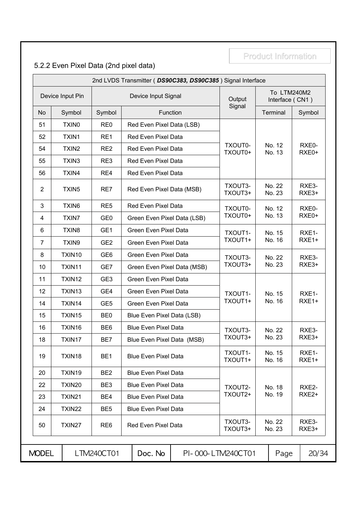## 5.2.2 Even Pixel Data (2nd pixel data)

| 2nd LVDS Transmitter (DS90C383, DS90C385) Signal Interface |                   |                 |                                  |                    |                                |                |  |  |  |  |  |
|------------------------------------------------------------|-------------------|-----------------|----------------------------------|--------------------|--------------------------------|----------------|--|--|--|--|--|
| Device Input Pin                                           |                   |                 | Device Input Signal              | Output             | To LTM240M2<br>Interface (CN1) |                |  |  |  |  |  |
| <b>No</b>                                                  | Symbol            | Symbol          | Function                         | Signal             | Terminal                       | Symbol         |  |  |  |  |  |
| 51                                                         | TXIN <sub>0</sub> | RE <sub>0</sub> | Red Even Pixel Data (LSB)        |                    |                                |                |  |  |  |  |  |
| 52                                                         | TXIN1             | RE1             | Red Even Pixel Data              |                    |                                |                |  |  |  |  |  |
| 54                                                         | TXIN <sub>2</sub> | RE <sub>2</sub> | Red Even Pixel Data              | TXOUT0-<br>TXOUT0+ | No. 12<br>No. 13               | RXE0-<br>RXE0+ |  |  |  |  |  |
| 55                                                         | TXIN3             | RE3             | <b>Red Even Pixel Data</b>       |                    |                                |                |  |  |  |  |  |
| 56                                                         | TXIN4             | RE4             | Red Even Pixel Data              |                    |                                |                |  |  |  |  |  |
| $\overline{2}$                                             | TXIN <sub>5</sub> | RE7             | Red Even Pixel Data (MSB)        | TXOUT3-<br>TXOUT3+ | No. 22<br>No. 23               | RXE3-<br>RXE3+ |  |  |  |  |  |
| 3                                                          | TXIN6             | RE <sub>5</sub> | Red Even Pixel Data              | TXOUT0-            | No. 12                         | RXE0-          |  |  |  |  |  |
| 4                                                          | <b>TXIN7</b>      | GE <sub>0</sub> | Green Even Pixel Data (LSB)      | TXOUT0+            | No. 13                         | RXE0+          |  |  |  |  |  |
| 6                                                          | TXIN8             | GE1             | Green Even Pixel Data<br>TXOUT1- |                    | No. 15                         | RXE1-          |  |  |  |  |  |
| 7                                                          | TXIN9             | GE <sub>2</sub> | Green Even Pixel Data            | TXOUT1+            | No. 16                         | RXE1+          |  |  |  |  |  |
| 8                                                          | TXIN10            | GE <sub>6</sub> | Green Even Pixel Data            | TXOUT3-            | No. 22                         | RXE3-          |  |  |  |  |  |
| 10                                                         | TXIN11            | GE7             | Green Even Pixel Data (MSB)      | TXOUT3+            | No. 23                         | RXE3+          |  |  |  |  |  |
| 11                                                         | TXIN12            | GE <sub>3</sub> | Green Even Pixel Data            |                    |                                |                |  |  |  |  |  |
| 12                                                         | TXIN13            | GE4             | Green Even Pixel Data            | TXOUT1-            | No. 15                         | RXE1-          |  |  |  |  |  |
| 14                                                         | TXIN14            | GE <sub>5</sub> | Green Even Pixel Data            | TXOUT1+            | No. 16                         | RXE1+          |  |  |  |  |  |
| 15                                                         | TXIN15            | BE <sub>0</sub> | Blue Even Pixel Data (LSB)       |                    |                                |                |  |  |  |  |  |
| 16                                                         | TXIN16            | BE <sub>6</sub> | <b>Blue Even Pixel Data</b>      | TXOUT3-            | No. 22                         | RXE3-          |  |  |  |  |  |
| 18                                                         | TXIN17            | BE7             | Blue Even Pixel Data (MSB)       | TXOUT3+            | No. 23                         | RXE3+          |  |  |  |  |  |
| 19                                                         | TXIN18            | BE <sub>1</sub> | <b>Blue Even Pixel Data</b>      | TXOUT1-<br>TXOUT1+ | No. 15<br>No. 16               | RXE1-<br>RXE1+ |  |  |  |  |  |
| 20                                                         | TXIN19            | BE <sub>2</sub> | <b>Blue Even Pixel Data</b>      |                    |                                |                |  |  |  |  |  |
| 22                                                         | TXIN20            | BE3             | <b>Blue Even Pixel Data</b>      | TXOUT2-            | No. 18                         | RXE2-          |  |  |  |  |  |
| 23                                                         | TXIN21            | BE4             | <b>Blue Even Pixel Data</b>      | TXOUT2+            | No. 19                         | RXE2+          |  |  |  |  |  |
| 24                                                         | TXIN22            | BE <sub>5</sub> | <b>Blue Even Pixel Data</b>      |                    |                                |                |  |  |  |  |  |
| 50                                                         | TXIN27            | RE <sub>6</sub> | Red Even Pixel Data              | TXOUT3-<br>TXOUT3+ | No. 22<br>No. 23               | RXE3-<br>RXE3+ |  |  |  |  |  |

MODEL | LTM240CT01 | Doc. No | PI-000- LTM240CT01 | Page | 20/34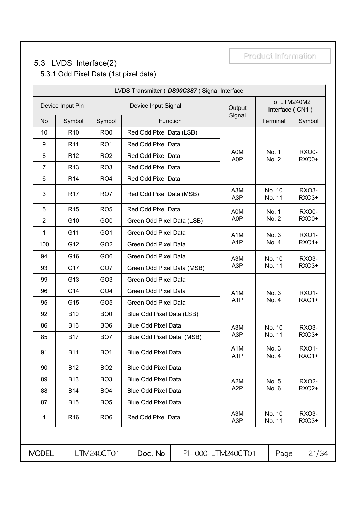## 5.3 LVDS Interface(2)

Product Information

## 5.3.1 Odd Pixel Data (1st pixel data)

| LVDS Transmitter (DS90C387) Signal Interface |                 |                 |                            |                                      |                                |                              |  |  |  |  |  |
|----------------------------------------------|-----------------|-----------------|----------------------------|--------------------------------------|--------------------------------|------------------------------|--|--|--|--|--|
| Device Input Pin                             |                 |                 | Device Input Signal        | Output                               | To LTM240M2<br>Interface (CN1) |                              |  |  |  |  |  |
| <b>No</b>                                    | Symbol          | Symbol          | Function                   | Signal                               | Terminal                       | Symbol                       |  |  |  |  |  |
| 10                                           | R <sub>10</sub> | RO <sub>0</sub> | Red Odd Pixel Data (LSB)   |                                      |                                |                              |  |  |  |  |  |
| 9                                            | R <sub>11</sub> | RO <sub>1</sub> | Red Odd Pixel Data         |                                      |                                |                              |  |  |  |  |  |
| 8                                            | R <sub>12</sub> | RO <sub>2</sub> | Red Odd Pixel Data         | A0M<br>A0P                           | No. 1<br>No. 2                 | <b>RXO0-</b><br><b>RXO0+</b> |  |  |  |  |  |
| $\overline{7}$                               | R <sub>13</sub> | RO <sub>3</sub> | Red Odd Pixel Data         |                                      |                                |                              |  |  |  |  |  |
| 6                                            | R <sub>14</sub> | RO <sub>4</sub> | Red Odd Pixel Data         |                                      |                                |                              |  |  |  |  |  |
| $\mathbf{3}$                                 | R <sub>17</sub> | RO7             | Red Odd Pixel Data (MSB)   | A3M<br>A3P                           | No. 10<br>No. 11               | RXO3-<br>RXO3+               |  |  |  |  |  |
| 5                                            | R <sub>15</sub> | RO <sub>5</sub> | Red Odd Pixel Data         | A0M                                  | No. 1                          | RXO0-                        |  |  |  |  |  |
| $\overline{2}$                               | G10             | GO <sub>0</sub> | Green Odd Pixel Data (LSB) | A0P                                  | No. 2                          | <b>RXO0+</b>                 |  |  |  |  |  |
| 1                                            | G11             | GO <sub>1</sub> | Green Odd Pixel Data       | A <sub>1</sub> M                     | No. 3                          | <b>RXO1-</b>                 |  |  |  |  |  |
| 100                                          | G12             | GO <sub>2</sub> | Green Odd Pixel Data       | A <sub>1</sub> P                     | No. 4                          | <b>RXO1+</b>                 |  |  |  |  |  |
| 94                                           | G16             | GO <sub>6</sub> | Green Odd Pixel Data       | A3M                                  | No. 10                         | <b>RXO3-</b>                 |  |  |  |  |  |
| 93                                           | G17             | GO7             | Green Odd Pixel Data (MSB) | A <sub>3</sub> P                     | No. 11                         | RXO3+                        |  |  |  |  |  |
| 99                                           | G13             | GO <sub>3</sub> | Green Odd Pixel Data       |                                      |                                |                              |  |  |  |  |  |
| 96                                           | G14             | GO <sub>4</sub> | Green Odd Pixel Data       | A <sub>1</sub> M                     | No. 3                          | <b>RXO1-</b>                 |  |  |  |  |  |
| 95                                           | G15             | GO <sub>5</sub> | Green Odd Pixel Data       | A <sub>1</sub> P                     | No. 4                          | <b>RXO1+</b>                 |  |  |  |  |  |
| 92                                           | <b>B10</b>      | BO <sub>0</sub> | Blue Odd Pixel Data (LSB)  |                                      |                                |                              |  |  |  |  |  |
| 86                                           | <b>B16</b>      | BO <sub>6</sub> | <b>Blue Odd Pixel Data</b> | A3M                                  | No. 10                         | RXO <sub>3</sub> -           |  |  |  |  |  |
| 85                                           | <b>B17</b>      | BO <sub>7</sub> | Blue Odd Pixel Data (MSB)  | A <sub>3</sub> P                     | No. 11                         | RXO3+                        |  |  |  |  |  |
| 91                                           | <b>B11</b>      | BO <sub>1</sub> | <b>Blue Odd Pixel Data</b> | A <sub>1</sub> M<br>A <sub>1</sub> P | No. 3<br>No. 4                 | RXO1-<br><b>RXO1+</b>        |  |  |  |  |  |
| 90                                           | <b>B12</b>      | BO <sub>2</sub> | <b>Blue Odd Pixel Data</b> |                                      |                                |                              |  |  |  |  |  |
| 89                                           | <b>B13</b>      | BO <sub>3</sub> | <b>Blue Odd Pixel Data</b> | A <sub>2</sub> M                     | No. 5                          | <b>RXO2-</b>                 |  |  |  |  |  |
| 88                                           | <b>B14</b>      | BO <sub>4</sub> | <b>Blue Odd Pixel Data</b> | A <sub>2</sub> P                     | No. 6                          | RX02+                        |  |  |  |  |  |
| 87                                           | <b>B15</b>      | BO <sub>5</sub> | <b>Blue Odd Pixel Data</b> |                                      |                                |                              |  |  |  |  |  |
| 4                                            | R <sub>16</sub> | RO <sub>6</sub> | Red Odd Pixel Data         | A3M<br>A <sub>3</sub> P              | No. 10<br>No. 11               | RXO3-<br>RXO3+               |  |  |  |  |  |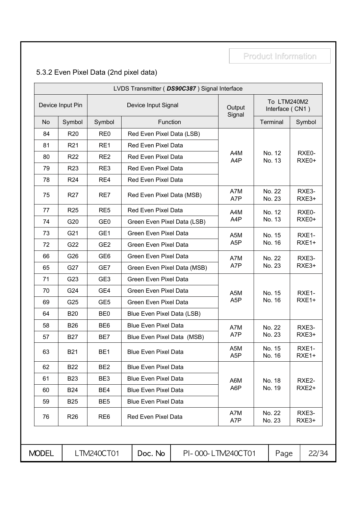## 5.3.2 Even Pixel Data (2nd pixel data)

| LVDS Transmitter ( DS90C387) Signal Interface |                 |                 |                             |                         |                                |                   |  |  |  |  |  |
|-----------------------------------------------|-----------------|-----------------|-----------------------------|-------------------------|--------------------------------|-------------------|--|--|--|--|--|
| Device Input Pin                              |                 |                 | Device Input Signal         | Output<br>Signal        | To LTM240M2<br>Interface (CN1) |                   |  |  |  |  |  |
| No                                            | Symbol          | Symbol          | Function                    |                         | Terminal                       | Symbol            |  |  |  |  |  |
| 84                                            | R <sub>20</sub> | RE <sub>0</sub> | Red Even Pixel Data (LSB)   |                         |                                |                   |  |  |  |  |  |
| 81                                            | R <sub>21</sub> | RE1             | Red Even Pixel Data         |                         |                                |                   |  |  |  |  |  |
| 80                                            | <b>R22</b>      | RE <sub>2</sub> | <b>Red Even Pixel Data</b>  | A4M<br>A4P              | No. 12<br>No. 13               | RXE0-<br>RXE0+    |  |  |  |  |  |
| 79                                            | R <sub>23</sub> | RE3             | Red Even Pixel Data         |                         |                                |                   |  |  |  |  |  |
| 78                                            | R <sub>24</sub> | RE4             | Red Even Pixel Data         |                         |                                |                   |  |  |  |  |  |
| 75                                            | <b>R27</b>      | RE7             | Red Even Pixel Data (MSB)   | A7M<br>A7P              | No. 22<br>No. 23               | RXE3-<br>RXE3+    |  |  |  |  |  |
| 77                                            | <b>R25</b>      | RE <sub>5</sub> | Red Even Pixel Data         | A4M                     | No. 12                         | RXE0-             |  |  |  |  |  |
| 74                                            | G20             | GE <sub>0</sub> | Green Even Pixel Data (LSB) | A4P                     | No. 13                         | RXE0+             |  |  |  |  |  |
| 73                                            | G21             | GE1             | Green Even Pixel Data       | A <sub>5</sub> M        | No. 15                         | RXE1-             |  |  |  |  |  |
| 72                                            | G22             | GE <sub>2</sub> | Green Even Pixel Data       | A <sub>5</sub> P        | No. 16                         | RXE1+             |  |  |  |  |  |
| 66                                            | G26             | GE <sub>6</sub> | Green Even Pixel Data       | A7M                     | No. 22                         | RXE3-             |  |  |  |  |  |
| 65                                            | G27             | GE7             | Green Even Pixel Data (MSB) | A7P                     | No. 23                         | RXE3+             |  |  |  |  |  |
| 71                                            | G23             | GE <sub>3</sub> | Green Even Pixel Data       |                         |                                |                   |  |  |  |  |  |
| 70                                            | G24             | GE4             | Green Even Pixel Data       | A5M                     | No. 15                         | RXE1-             |  |  |  |  |  |
| 69                                            | G25             | GE <sub>5</sub> | Green Even Pixel Data       | A <sub>5</sub> P        | No. 16                         | RXE1+             |  |  |  |  |  |
| 64                                            | <b>B20</b>      | BE <sub>0</sub> | Blue Even Pixel Data (LSB)  |                         |                                |                   |  |  |  |  |  |
| 58                                            | <b>B26</b>      | BE <sub>6</sub> | <b>Blue Even Pixel Data</b> | A7M                     | No. 22                         | RXE3-             |  |  |  |  |  |
| 57                                            | <b>B27</b>      | BE7             | Blue Even Pixel Data (MSB)  | A7P                     | No. 23                         | RXE3+             |  |  |  |  |  |
| 63                                            | <b>B21</b>      | BE <sub>1</sub> | <b>Blue Even Pixel Data</b> | A5M<br>A <sub>5</sub> P | No. 15<br>No. 16               | RXE1-<br>RXE1+    |  |  |  |  |  |
| 62                                            | <b>B22</b>      | BE <sub>2</sub> | <b>Blue Even Pixel Data</b> |                         |                                |                   |  |  |  |  |  |
| 61                                            | <b>B23</b>      | BE3             | <b>Blue Even Pixel Data</b> | A6M                     | No. 18                         | RXE2-             |  |  |  |  |  |
| 60                                            | <b>B24</b>      | BE4             | <b>Blue Even Pixel Data</b> | A6P                     | No. 19                         | RXE <sub>2+</sub> |  |  |  |  |  |
| 59                                            | <b>B25</b>      | BE <sub>5</sub> | <b>Blue Even Pixel Data</b> |                         |                                |                   |  |  |  |  |  |
| 76                                            | R <sub>26</sub> | RE <sub>6</sub> | Red Even Pixel Data         | A7M<br>A7P              | No. 22<br>No. 23               | RXE3-<br>RXE3+    |  |  |  |  |  |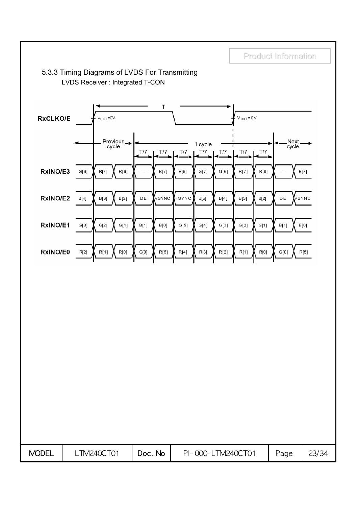

### 5.3.3 Timing Diagrams of LVDS For Transmitting LVDS Receiver : Integrated T-CON

MODEL | LTM240CT01 | Doc. No | PI-000- LTM240CT01 | Page | 23/34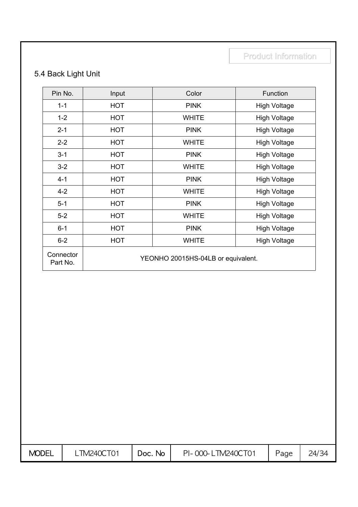## 5.4 Back Light Unit

| Pin No.               | Input      | Color                              | Function            |
|-----------------------|------------|------------------------------------|---------------------|
| $1 - 1$               | <b>HOT</b> | <b>PINK</b>                        | <b>High Voltage</b> |
| $1 - 2$               | <b>HOT</b> | <b>WHITE</b>                       | <b>High Voltage</b> |
| $2 - 1$               | <b>HOT</b> | <b>PINK</b>                        | <b>High Voltage</b> |
| $2 - 2$               | <b>HOT</b> | <b>WHITE</b>                       | <b>High Voltage</b> |
| $3 - 1$               | <b>HOT</b> | <b>PINK</b>                        | <b>High Voltage</b> |
| $3 - 2$               | HOT        | <b>WHITE</b>                       | <b>High Voltage</b> |
| $4 - 1$               | <b>HOT</b> | <b>PINK</b>                        | <b>High Voltage</b> |
| $4 - 2$               | <b>HOT</b> | <b>WHITE</b>                       | <b>High Voltage</b> |
| $5-1$                 | <b>HOT</b> | <b>PINK</b>                        | <b>High Voltage</b> |
| $5-2$                 | HOT        | <b>WHITE</b>                       | <b>High Voltage</b> |
| $6 - 1$               | <b>HOT</b> | <b>PINK</b>                        | <b>High Voltage</b> |
| $6 - 2$               | <b>HOT</b> | <b>WHITE</b>                       | <b>High Voltage</b> |
| Connector<br>Part No. |            | YEONHO 20015HS-04LB or equivalent. |                     |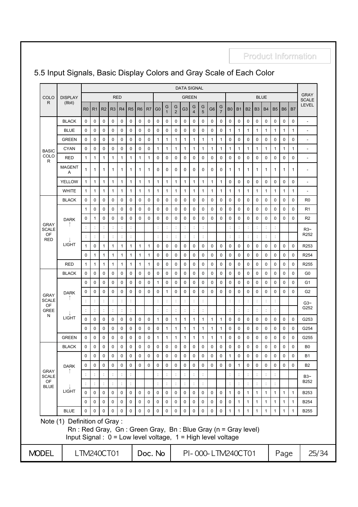## 5.5 Input Signals, Basic Display Colors and Gray Scale of Each Color

|                             |                                                                                                                                                              |                      | <b>DATA SIGNAL</b>       |                        |                  |                                    |                          |                        |             |                          |                        |                          |                |                          |                        |                          |                     |                   |                              |                   |                              |                              |                              |                   |                              |                             |
|-----------------------------|--------------------------------------------------------------------------------------------------------------------------------------------------------------|----------------------|--------------------------|------------------------|------------------|------------------------------------|--------------------------|------------------------|-------------|--------------------------|------------------------|--------------------------|----------------|--------------------------|------------------------|--------------------------|---------------------|-------------------|------------------------------|-------------------|------------------------------|------------------------------|------------------------------|-------------------|------------------------------|-----------------------------|
| COLO                        | <b>DISPLAY</b><br>(8bit)                                                                                                                                     |                      |                          |                        |                  | <b>RED</b>                         |                          |                        |             |                          |                        |                          |                | <b>GREEN</b>             |                        |                          |                     |                   |                              |                   |                              | <b>BLUE</b>                  |                              |                   |                              | <b>GRAY</b><br><b>SCALE</b> |
| R                           |                                                                                                                                                              | R <sub>0</sub>       | R <sub>1</sub>           | R <sub>2</sub>         | R3               | R4                                 | R <sub>5</sub>           | R <sub>6</sub>         | R7          | G <sub>0</sub>           | G<br>$\mathbf{1}$      | G<br>$\overline{2}$      | G <sub>3</sub> | G<br>$\overline{4}$      | G<br>5                 | G6                       | G<br>$\overline{7}$ | B <sub>0</sub>    | <b>B1</b>                    | B2                | B <sub>3</sub>               | <b>B4</b>                    | <b>B5</b>                    | <b>B6</b>         | B <sub>7</sub>               | <b>LEVEL</b>                |
|                             | <b>BLACK</b>                                                                                                                                                 | 0                    | 0                        | $\mathbf 0$            | 0                | 0                                  | 0                        | 0                      | 0           | 0                        | 0                      | 0                        | 0              | 0                        | 0                      | 0                        | 0                   | 0                 | 0                            | 0                 | 0                            | 0                            | $\mathbf 0$                  | 0                 | 0                            | ÷                           |
|                             | <b>BLUE</b>                                                                                                                                                  | 0                    | 0                        | 0                      | 0                | 0                                  | $\mathbf 0$              | $\mathbf 0$            | 0           | 0                        | 0                      | 0                        | 0              | 0                        | 0                      | 0                        | 0                   | 1                 | $\mathbf{1}$                 | 1                 | 1                            | $\mathbf{1}$                 | 1                            | 1                 | 1                            | $\overline{a}$              |
|                             | <b>GREEN</b>                                                                                                                                                 | 0                    | 0                        | $\mathbf 0$            | 0                | $\mathbf 0$                        | $\mathbf 0$              | $\mathbf 0$            | 0           | $\mathbf{1}$             | $\mathbf{1}$           | $\mathbf{1}$             | 1              | $\mathbf{1}$             | $\mathbf{1}$           | $\mathbf{1}$             | $\mathbf{1}$        | $\mathbf 0$       | 0                            | $\mathbf 0$       | 0                            | 0                            | $\mathbf 0$                  | 0                 | $\mathbf 0$                  |                             |
| <b>BASIC</b>                | <b>CYAN</b>                                                                                                                                                  | 0                    | 0                        | 0                      | 0                | 0                                  | $\mathbf 0$              | $\mathbf 0$            | 0           | $\mathbf{1}$             | $\mathbf{1}$           | 1                        | 1              | $\mathbf{1}$             | 1                      | 1                        | 1                   | $\mathbf{1}$      | $\mathbf{1}$                 | 1                 | 1                            | 1                            | $\mathbf{1}$                 | 1                 | 1                            | $\overline{\phantom{a}}$    |
| COLO<br>R                   | RED                                                                                                                                                          | $\mathbf{1}$         | 1                        | 1                      | $\mathbf{1}$     | 1                                  | 1                        | 1                      | 1           | 0                        | 0                      | 0                        | 0              | 0                        | 0                      | 0                        | 0                   | 0                 | 0                            | 0                 | 0                            | 0                            | 0                            | 0                 | 0                            | ٠                           |
|                             | <b>MAGENT</b><br>Α                                                                                                                                           | 1                    | 1                        | 1                      | 1                | 1                                  | 1                        | 1                      | 1           | 0                        | 0                      | 0                        | 0              | 0                        | 0                      | 0                        | 0                   | $\mathbf{1}$      | $\mathbf{1}$                 | 1                 | 1                            | $\mathbf{1}$                 | $\mathbf{1}$                 | 1                 | $\mathbf{1}$                 | $\overline{\phantom{a}}$    |
|                             | <b>YELLOW</b>                                                                                                                                                | $\mathbf{1}$         | $\mathbf{1}$             | $\mathbf{1}$           | $\mathbf{1}$     | $\mathbf{1}$                       | 1                        | 1                      | 1           | $\mathbf{1}$             | $\mathbf{1}$           | $\mathbf{1}$             | $\mathbf{1}$   | $\mathbf{1}$             | $\mathbf{1}$           | $\mathbf{1}$             | $\mathbf{1}$        | 0                 | 0                            | 0                 | 0                            | 0                            | 0                            | 0                 | 0                            | $\overline{\phantom{a}}$    |
|                             | <b>WHITE</b>                                                                                                                                                 | $\mathbf{1}$         | 1                        | 1                      | $\mathbf{1}$     | $\mathbf{1}$                       | $\mathbf{1}$             | 1                      | 1           | $\mathbf{1}$             | $\mathbf{1}$           | 1                        | 1              | $\mathbf{1}$             | $\mathbf{1}$           | 1                        | $\mathbf{1}$        | $\mathbf{1}$      | $\mathbf{1}$                 | 1                 | $\mathbf{1}$                 | $\mathbf{1}$                 | $\mathbf{1}$                 | 1                 | $\mathbf{1}$                 |                             |
|                             | <b>BLACK</b>                                                                                                                                                 | 0                    | 0                        | 0                      | 0                | 0                                  | 0                        | $\mathbf 0$            | 0           | 0                        | 0                      | 0                        | 0              | 0                        | 0                      | 0                        | 0                   | 0                 | 0                            | 0                 | 0                            | 0                            | 0                            | 0                 | 0                            | R0                          |
|                             |                                                                                                                                                              | $\mathbf{1}$         | 0                        | 0                      | 0                | $\mathbf 0$                        | 0                        | $\mathbf 0$            | 0           | $\mathbf 0$              | 0                      | 0                        | 0              | 0                        | 0                      | 0                        | 0                   | 0                 | 0                            | 0                 | 0                            | 0                            | 0                            | 0                 | 0                            | R <sub>1</sub>              |
|                             | <b>DARK</b>                                                                                                                                                  | 0                    | $\mathbf{1}$             | $\mathbf 0$            | 0                | $\mathbf 0$                        | 0                        | $\mathbf 0$            | 0           | $\mathbf 0$              | 0                      | 0                        | 0              | 0                        | 0                      | 0                        | 0                   | 0                 | 0                            | 0                 | 0                            | 0                            | 0                            | 0                 | $\mathbf 0$                  | R <sub>2</sub>              |
| <b>GRAY</b><br><b>SCALE</b> |                                                                                                                                                              | $\ddot{\phantom{a}}$ | ÷                        | ċ                      | ÷                | ċ                                  | $\ddot{\phantom{a}}$     |                        |             | ÷                        | ÷                      |                          |                | $\ddot{\phantom{a}}$     | ÷                      |                          |                     | ÷                 | $\ddot{\cdot}$               | ċ                 | ċ                            | ÷                            | $\ddot{\cdot}$               |                   |                              | $R3-$                       |
| OF<br><b>RED</b>            | LIGHT                                                                                                                                                        |                      | $\ddot{\cdot}$           | ÷                      | ċ                |                                    | ċ                        |                        |             | ÷                        | $\ddot{\phantom{a}}$   | ÷                        |                |                          | $\ddot{\phantom{a}}$   |                          |                     | $\ddot{\cdot}$    | ÷                            | ÷                 | ÷                            | ÷                            | $\ddot{\phantom{a}}$         |                   |                              | R <sub>252</sub>            |
|                             |                                                                                                                                                              | 1                    | 0                        | 1                      | $\mathbf{1}$     | $\mathbf{1}$                       | 1                        | 1                      | 1           | 0                        | 0                      | 0                        | 0              | 0                        | 0                      | 0                        | 0                   | 0                 | 0                            | 0                 | 0                            | $\mathbf 0$                  | 0                            | 0                 | 0                            | R253                        |
|                             |                                                                                                                                                              | 0                    | 1                        | $\mathbf{1}$           | $\mathbf{1}$     | $\mathbf{1}$                       | $\mathbf{1}$             | 1                      | 1           | $\mathbf 0$              | 0                      | 0                        | 0              | 0                        | 0                      | $\mathbf 0$              | 0                   | $\mathbf 0$       | 0                            | 0                 | 0                            | 0                            | $\mathbf 0$                  | 0                 | 0                            | R254                        |
|                             | <b>RED</b>                                                                                                                                                   | 1                    | 1                        | $\mathbf{1}$           | $\mathbf{1}$     | 1                                  | 1                        | 1                      | 1           | 0                        | 0                      | 0                        | 0              | 0                        | 0                      | 0                        | 0                   | 0                 | 0                            | $\mathbf 0$       | 0                            | 0                            | $\mathbf 0$                  | 0                 | 0                            | R <sub>255</sub>            |
|                             | <b>BLACK</b>                                                                                                                                                 | 0                    | 0                        | $\mathbf 0$            | 0                | $\mathbf 0$                        | 0                        | 0                      | 0           | $\mathbf 0$              | 0                      | 0                        | 0              | 0                        | 0                      | 0                        | 0                   | 0                 | 0                            | 0                 | 0                            | 0                            | 0                            | 0                 | $\mathbf 0$                  | G <sub>0</sub>              |
|                             | <b>DARK</b><br>LIGHT                                                                                                                                         | 0                    | 0                        | 0                      | 0                | 0                                  | 0                        | $\mathbf 0$            | 0           | $\mathbf{1}$             | $\mathbf 0$            | 0                        | 0              | 0                        | 0                      | 0                        | 0                   | 0                 | 0                            | 0                 | 0                            | 0                            | 0                            | 0                 | 0                            | G1                          |
| <b>GRAY</b>                 |                                                                                                                                                              | 0                    | 0                        | 0                      | 0                | $\mathbf 0$                        | $\mathbf 0$              | $\mathbf 0$            | 0           | $\mathbf 0$              | $\mathbf{1}$           | 0                        | 0              | 0                        | 0                      | 0                        | 0                   | 0                 | $\mathbf 0$                  | 0                 | 0                            | 0                            | 0                            | 0                 | 0                            | G <sub>2</sub>              |
| <b>SCALE</b><br><b>OF</b>   |                                                                                                                                                              |                      | $\ddot{\phantom{a}}$     | $\ddot{\cdot}$         | $\ddot{\cdot}$   |                                    | $\ddot{\phantom{a}}$     |                        |             | $\ddot{\cdot}$           | $\ddot{\phantom{a}}$   |                          | ÷              | ÷                        | $\ddot{\cdot}$         |                          |                     | ÷                 | $\ddot{\phantom{a}}$         | $\ddot{\cdot}$    | t                            | $\ddot{\cdot}$               | $\ddot{\cdot}$               |                   |                              | $G3-$                       |
| <b>GREE</b><br>N            |                                                                                                                                                              |                      | $\ddot{\phantom{a}}$     |                        |                  |                                    | $\ddot{\phantom{a}}$     |                        |             |                          | $\ddot{\phantom{a}}$   |                          |                |                          | $\ddot{\cdot}$         |                          |                     |                   |                              |                   |                              |                              |                              |                   |                              | G252                        |
|                             |                                                                                                                                                              | 0                    | 0                        | 0                      | 0                | 0                                  | 0                        | 0                      | 0           | 1                        | 0                      | 1                        | 1              | 1                        | 1                      | 1                        | 1                   | 0                 | 0                            | 0                 | 0                            | 0                            | 0                            | 0                 | 0                            | G253                        |
|                             |                                                                                                                                                              | $\mathbf 0$          | 0                        | $\mathbf 0$            | 0                | $\mathbf 0$                        | 0                        | $\mathbf 0$            | 0           | 0                        | 1                      | 1                        | 1              | 1                        | 1                      | 1                        | 1                   | 0                 | 0                            | 0                 | 0                            | 0                            | 0                            | 0                 | 0                            | G254                        |
|                             | <b>GREEN</b>                                                                                                                                                 | 0                    | 0                        | 0                      | 0                | 0                                  | 0                        | 0                      | 0           | $\mathbf{1}$             | 1                      | 1                        | 1              | $\mathbf{1}$             | 1                      | 1                        | 1                   | 0                 | 0                            | 0                 | 0                            | 0                            | 0                            | 0                 | 0                            | G255                        |
|                             | <b>BLACK</b>                                                                                                                                                 | 0                    | 0                        | $\mathbf 0$            | 0                | 0                                  | 0                        | $\mathbf 0$            | 0           | $\mathbf 0$              | $\Omega$               | 0                        | 0              | 0                        | 0                      | 0                        | 0                   | 0                 | 0                            | 0                 | 0                            | 0                            | 0                            | 0                 | 0                            | B <sub>0</sub>              |
|                             |                                                                                                                                                              | 0                    | 0                        | $\pmb{0}$              | 0                | $\pmb{0}$                          | 0                        | $\mathbf 0$            | $\mathbf 0$ | $\mathbf 0$              | 0                      | $\mathbf 0$              | 0              | 0                        | 0                      | 0                        | 0                   | 1                 | 0                            | 0                 | $\pmb{0}$                    | 0                            | $\pmb{0}$                    | 0                 | $\pmb{0}$                    | <b>B1</b>                   |
| <b>GRAY</b>                 | <b>DARK</b>                                                                                                                                                  | 0                    | 0                        | $\mathbf 0$            | 0                | 0                                  | $\mathbf 0$              | $\mathbf 0$            | 0           | 0                        | $\mathbf 0$            | $\mathbf 0$              | 0              | 0                        | 0                      | $\mathbf 0$              | 0                   | 0                 | $\mathbf{1}$                 | 0                 | 0                            | $\mathbf 0$                  | $\mathbf 0$                  | $\mathbf 0$       | $\Omega$                     | <b>B2</b>                   |
| <b>SCALE</b><br><b>OF</b>   |                                                                                                                                                              |                      |                          |                        |                  |                                    | ÷                        |                        |             |                          | $\ddot{\phantom{a}}$   |                          |                |                          | $\ddot{\cdot}$         |                          |                     |                   |                              |                   |                              | ÷                            |                              |                   |                              | $B3 -$<br>B252              |
| <b>BLUE</b>                 | <b>LIGHT</b>                                                                                                                                                 |                      | ÷                        | $\ddot{\cdot}$         | $\ddot{\cdot}$   |                                    | ÷                        |                        |             |                          | $\ddot{\phantom{a}}$   | ÷                        | ÷              |                          | $\ddot{\cdot}$         |                          |                     |                   | ÷                            |                   | $\ddot{\cdot}$               | $\ddot{\phantom{a}}$         | $\ddot{\cdot}$               |                   |                              |                             |
|                             |                                                                                                                                                              | 0                    | $\mathbf 0$              | $\pmb{0}$              | 0                | 0                                  | 0                        | $\pmb{0}$              | 0           | $\pmb{0}$                | $\pmb{0}$              | $\mathsf 0$              | $\pmb{0}$      | 0                        | $\pmb{0}$              | $\pmb{0}$                | 0                   | $\mathbf{1}$      | 0                            | $\mathbf{1}$      | $\mathbf{1}$                 | $\mathbf{1}$                 | $\mathbf{1}$                 | $\mathbf{1}$      | $\mathbf{1}$                 | B253                        |
|                             | <b>BLUE</b>                                                                                                                                                  | 0<br>$\Omega$        | $\pmb{0}$<br>$\mathbf 0$ | $\pmb{0}$<br>$\pmb{0}$ | 0<br>$\mathbf 0$ | $\mathsf{O}\xspace$<br>$\mathbf 0$ | $\pmb{0}$<br>$\mathbf 0$ | $\pmb{0}$<br>$\pmb{0}$ | 0<br>0      | $\pmb{0}$<br>$\mathbf 0$ | $\pmb{0}$<br>$\pmb{0}$ | $\pmb{0}$<br>$\mathsf 0$ | 0<br>0         | $\pmb{0}$<br>$\mathsf 0$ | $\pmb{0}$<br>$\pmb{0}$ | $\pmb{0}$<br>$\mathsf 0$ | 0<br>0              | 0<br>$\mathbf{1}$ | $\mathbf{1}$<br>$\mathbf{1}$ | 1<br>$\mathbf{1}$ | $\mathbf{1}$<br>$\mathbf{1}$ | $\mathbf{1}$<br>$\mathbf{1}$ | $\mathbf{1}$<br>$\mathbf{1}$ | $\mathbf{1}$<br>1 | $\mathbf{1}$<br>$\mathbf{1}$ | B254<br><b>B255</b>         |
|                             | Note (1) Definition of Gray:<br>Rn: Red Gray, Gn: Green Gray, Bn: Blue Gray (n = Gray level)<br>Input Signal : 0 = Low level voltage, 1 = High level voltage |                      |                          |                        |                  |                                    |                          |                        |             |                          |                        |                          |                |                          |                        |                          |                     |                   |                              |                   |                              |                              |                              |                   |                              |                             |
| MODEL                       |                                                                                                                                                              | LTM240CT01           |                          |                        |                  |                                    |                          |                        |             | Doc. No                  |                        |                          |                |                          |                        | PI-000-LTM240CT01        |                     |                   |                              |                   |                              |                              |                              | Page              |                              | 25/34                       |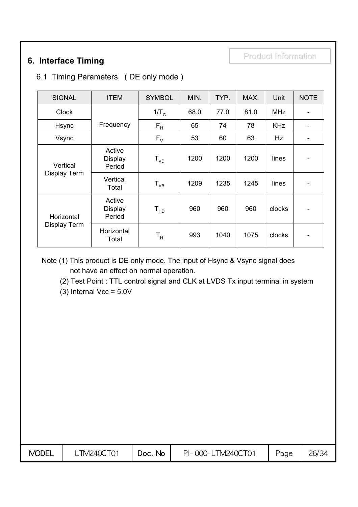## Product Information Product Information **6. Interface Timing**

## 6.1 Timing Parameters ( DE only mode )

| <b>SIGNAL</b>                     | <b>ITEM</b>                        | <b>SYMBOL</b>              | MIN. | TYP. | MAX. | Unit       | <b>NOTE</b>                  |
|-----------------------------------|------------------------------------|----------------------------|------|------|------|------------|------------------------------|
| <b>Clock</b>                      |                                    | $1/T_c$                    | 68.0 | 77.0 | 81.0 | <b>MHz</b> | $\overline{\phantom{a}}$     |
| Hsync                             | Frequency                          | $\mathsf{F}_\mathsf{H}$    | 65   | 74   | 78   | <b>KHz</b> |                              |
| Vsync                             |                                    | $F_{V}$                    | 53   | 60   | 63   | Hz         |                              |
| Vertical                          | Active<br><b>Display</b><br>Period | $T_{VD}$                   | 1200 | 1200 | 1200 | lines      | -                            |
| <b>Display Term</b>               | Vertical<br>Total                  | $\mathsf{T}_{\mathsf{VB}}$ | 1209 | 1235 | 1245 | lines      |                              |
| Horizontal<br><b>Display Term</b> | Active<br><b>Display</b><br>Period | $T_{HD}$                   | 960  | 960  | 960  | clocks     | $\qquad \qquad \blacksquare$ |
|                                   | Horizontal<br>Total                | $\mathsf{T}_{\mathsf{H}}$  | 993  | 1040 | 1075 | clocks     | -                            |

Note (1) This product is DE only mode. The input of Hsync & Vsync signal does not have an effect on normal operation.

(2) Test Point : TTL control signal and CLK at LVDS Tx input terminal in system

(3) Internal  $Vec = 5.0V$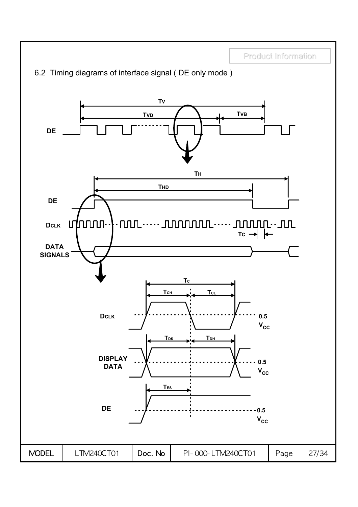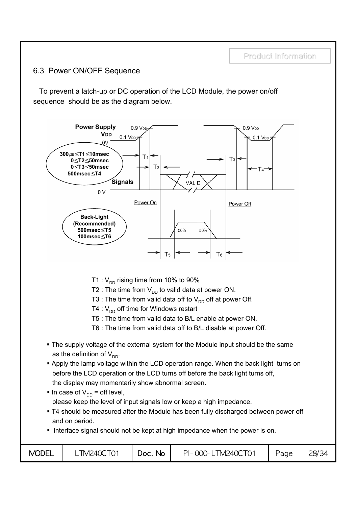## 6.3 Power ON/OFF Sequence

To prevent a latch-up or DC operation of the LCD Module, the power on/off sequence should be as the diagram below.



- T1 :  $V_{DD}$  rising time from 10% to 90%
- T2 : The time from  $V_{DD}$  to valid data at power ON.
- T3 : The time from valid data off to  $V_{DD}$  off at power Off.
- T4 :  $V_{DD}$  off time for Windows restart
- T5 : The time from valid data to B/L enable at power ON.
- T6 : The time from valid data off to B/L disable at power Off.
- The supply voltage of the external system for the Module input should be the same as the definition of  $V_{DD}$ .
- **Apply the lamp voltage within the LCD operation range. When the back light turns on** before the LCD operation or the LCD turns off before the back light turns off, the display may momentarily show abnormal screen.
- In case of  $V_{DD}$  = off level, please keep the level of input signals low or keep a high impedance.
- T4 should be measured after the Module has been fully discharged between power off and on period.
- Interface signal should not be kept at high impedance when the power is on.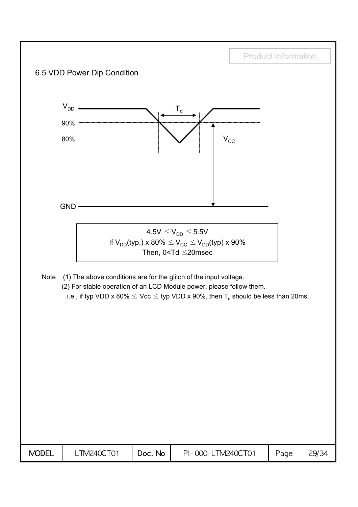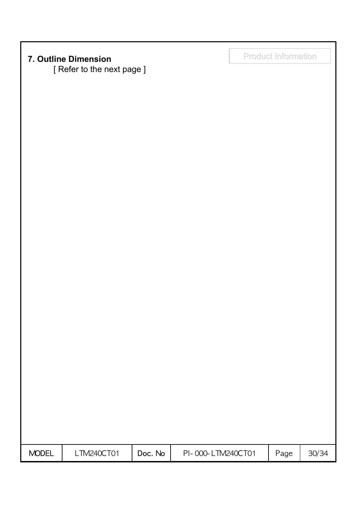[ Refer to the next page ]

Product Information Product Information **7. Outline Dimension**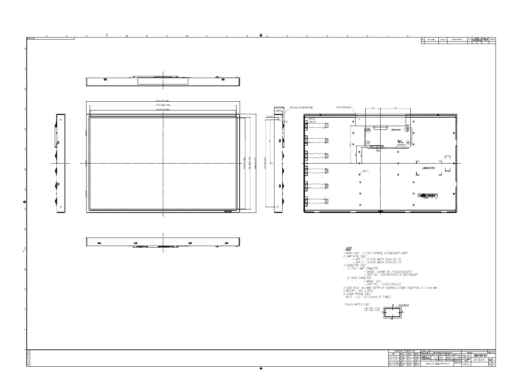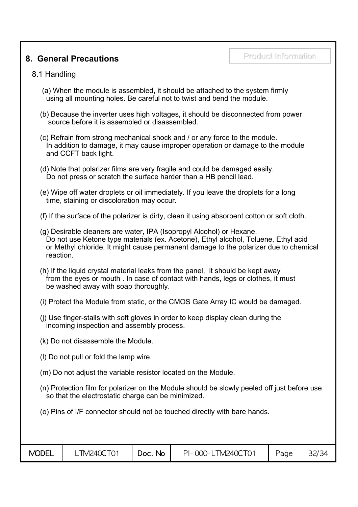## **8. General Precautions**

### 8.1 Handling

- (a) When the module is assembled, it should be attached to the system firmly using all mounting holes. Be careful not to twist and bend the module.
- (b) Because the inverter uses high voltages, it should be disconnected from power source before it is assembled or disassembled.
- (c) Refrain from strong mechanical shock and / or any force to the module. In addition to damage, it may cause improper operation or damage to the module and CCFT back light.
- (d) Note that polarizer films are very fragile and could be damaged easily. Do not press or scratch the surface harder than a HB pencil lead.
- (e) Wipe off water droplets or oil immediately. If you leave the droplets for a long time, staining or discoloration may occur.
- (f) If the surface of the polarizer is dirty, clean it using absorbent cotton or soft cloth.
- (g) Desirable cleaners are water, IPA (Isopropyl Alcohol) or Hexane. Do not use Ketone type materials (ex. Acetone), Ethyl alcohol, Toluene, Ethyl acid or Methyl chloride. It might cause permanent damage to the polarizer due to chemical reaction.
- (h) If the liquid crystal material leaks from the panel, it should be kept away from the eyes or mouth . In case of contact with hands, legs or clothes, it must be washed away with soap thoroughly.
- (i) Protect the Module from static, or the CMOS Gate Array IC would be damaged.
- (j) Use finger-stalls with soft gloves in order to keep display clean during the incoming inspection and assembly process.
- (k) Do not disassemble the Module.
- (l) Do not pull or fold the lamp wire.
- (m) Do not adjust the variable resistor located on the Module.
- (n) Protection film for polarizer on the Module should be slowly peeled off just before use so that the electrostatic charge can be minimized.
- (o) Pins of I/F connector should not be touched directly with bare hands.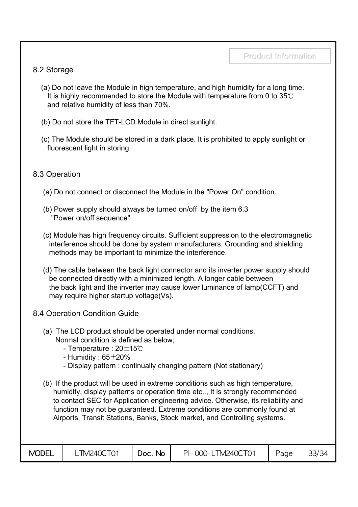## 8.2 Storage

- (a) Do not leave the Module in high temperature, and high humidity for a long time. It is highly recommended to store the Module with temperature from 0 to 35℃ and relative humidity of less than 70%.
- (b) Do not store the TFT-LCD Module in direct sunlight.
- (c) The Module should be stored in a dark place. It is prohibited to apply sunlight or fluorescent light in storing.

## 8.3 Operation

- (a) Do not connect or disconnect the Module in the "Power On" condition.
- (b) Power supply should always be turned on/off by the item 6.3 "Power on/off sequence"
- (c) Module has high frequency circuits. Sufficient suppression to the electromagnetic interference should be done by system manufacturers. Grounding and shielding methods may be important to minimize the interference.
- (d) The cable between the back light connector and its inverter power supply should be connected directly with a minimized length. A longer cable between the back light and the inverter may cause lower luminance of lamp(CCFT) and may require higher startup voltage(Vs).
- 8.4 Operation Condition Guide
	- (a) The LCD product should be operated under normal conditions. Normal condition is defined as below;
		- Temperature : 20±15℃
		- Humidity :  $65\pm20\%$
		- Display pattern : continually changing pattern (Not stationary)
	- (b) If the product will be used in extreme conditions such as high temperature, humidity, display patterns or operation time etc.., It is strongly recommended to contact SEC for Application engineering advice. Otherwise, its reliability and function may not be guaranteed. Extreme conditions are commonly found at Airports, Transit Stations, Banks, Stock market, and Controlling systems.